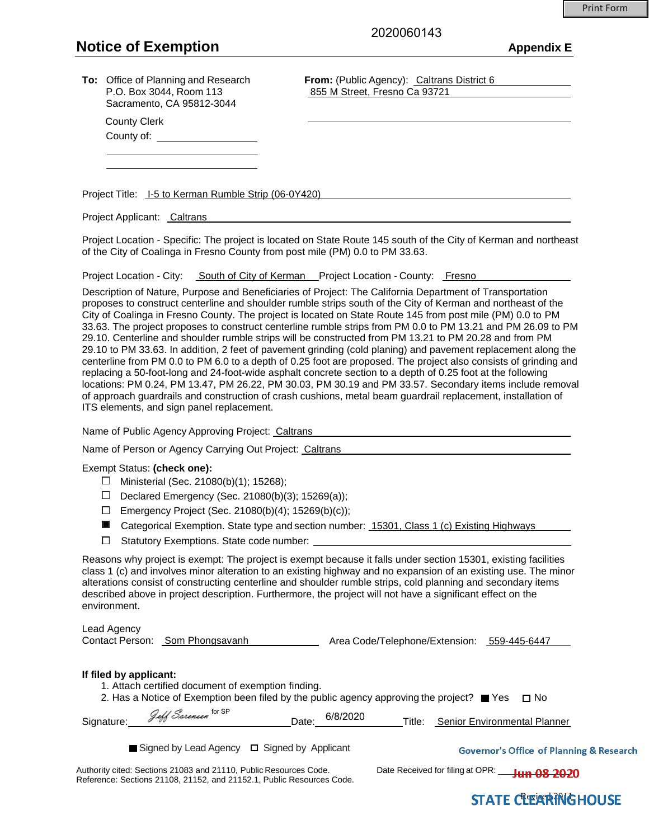# **Notice of Exemption Appendix E**

County Clerk County of: 2020060143

Sacramento, CA 95812-3044

**To:** Office of Planning and Research **From:** (Public Agency): Caltrans District 6 P.O. Box 3044, Room 113 855 M Street, Fresno Ca 93721

Project Title: I-5 to Kerman Rumble Strip (06-0Y420)

Project Applicant: Caltrans

Project Location - Specific: The project is located on State Route 145 south of the City of Kerman and northeast of the City of Coalinga in Fresno County from post mile (PM) 0.0 to PM 33.63.

Project Location - City: South of City of Kerman Project Location - County: Fresno

Description of Nature, Purpose and Beneficiaries of Project: The California Department of Transportation proposes to construct centerline and shoulder rumble strips south of the City of Kerman and northeast of the City of Coalinga in Fresno County. The project is located on State Route 145 from post mile (PM) 0.0 to PM 33.63. The project proposes to construct centerline rumble strips from PM 0.0 to PM 13.21 and PM 26.09 to PM 29.10. Centerline and shoulder rumble strips will be constructed from PM 13.21 to PM 20.28 and from PM 29.10 to PM 33.63. In addition, 2 feet of pavement grinding (cold planing) and pavement replacement along the centerline from PM 0.0 to PM 6.0 to a depth of 0.25 foot are proposed. The project also consists of grinding and replacing a 50-foot-long and 24-foot-wide asphalt concrete section to a depth of 0.25 foot at the following locations: PM 0.24, PM 13.47, PM 26.22, PM 30.03, PM 30.19 and PM 33.57. Secondary items include removal of approach guardrails and construction of crash cushions, metal beam guardrail replacement, installation of ITS elements, and sign panel replacement.

Name of Public Agency Approving Project: Caltrans

Name of Person or Agency Carrying Out Project: Caltrans

#### Exempt Status: **(check one):**

- $□$  Ministerial (Sec. 21080(b)(1); 15268);
- Declared Emergency (Sec. 21080(b)(3); 15269(a));
- $\Box$  Emergency Project (Sec. 21080(b)(4); 15269(b)(c));
- Categorical Exemption. State type and section number: 15301, Class 1 (c) Existing Highways
- $\Box$  Statutory Exemptions. State code number:

Reasons why project is exempt: The project is exempt because it falls under section 15301, existing facilities class 1 (c) and involves minor alteration to an existing highway and no expansion of an existing use. The minor alterations consist of constructing centerline and shoulder rumble strips, cold planning and secondary items described above in project description. Furthermore, the project will not have a significant effect on the environment.

Lead Agency

 $\overline{a}$ 

Contact Person: Som Phongsavanh Area Code/Telephone/Extension: 559-445-6447

#### **If filed by applicant:**

1. Attach certified document of exemption finding.

 $f_{\alpha x}$  CD

2. Has a Notice of Exemption been filed by the public agency approving the project?  $\blacksquare$  Yes  $\Box$  No

| $\sim$<br>Signature: | ାଠା ଏ୮<br>$7 - 66$ | 6/8/2020<br>Date | Title: | <b>Senior Environmental Planner</b> |
|----------------------|--------------------|------------------|--------|-------------------------------------|
|----------------------|--------------------|------------------|--------|-------------------------------------|

| $\blacksquare$ Signed by Lead Agency $\Box$ Signed by Applicant |  | <b>Governor's Office of Planning &amp; Research</b> |
|-----------------------------------------------------------------|--|-----------------------------------------------------|
|-----------------------------------------------------------------|--|-----------------------------------------------------|

Authority cited: Sections 21083 and 21110, Public Resources Code. Date Received for filing at OPR: **THA 08 2020** Reference: Sections 21108, 21152, and 21152.1, Public Resources Code.

# **STATE CITER PRIGHOUSE**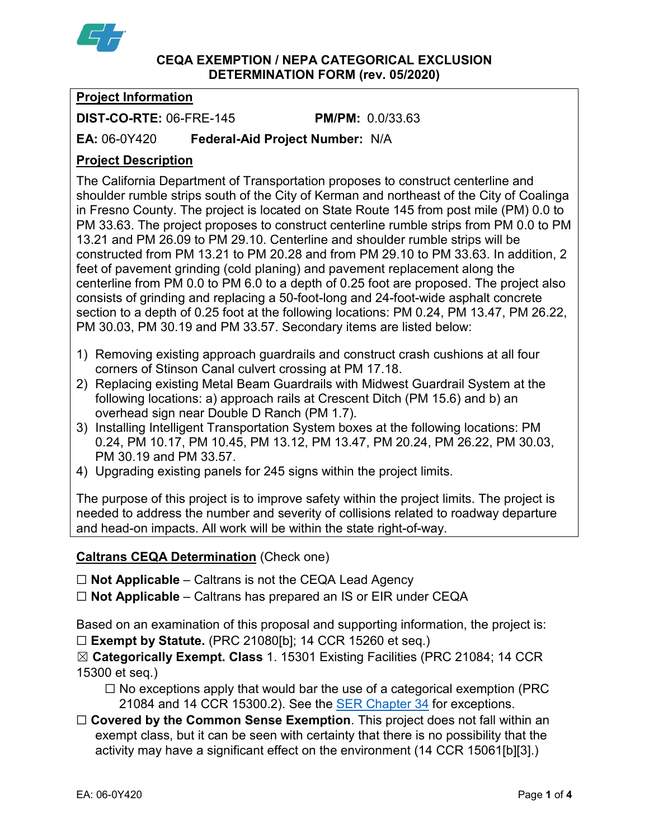

### **CEQA EXEMPTION / NEPA CATEGORICAL EXCLUSION DETERMINATION FORM (rev. 05/2020)**

# **Project Information**

**DIST-CO-RTE:** 06-FRE-145 **PM/PM:** 0.0/33.63

**EA:** 06-0Y420 **Federal-Aid Project Number:** N/A

# **Project Description**

The California Department of Transportation proposes to construct centerline and shoulder rumble strips south of the City of Kerman and northeast of the City of Coalinga in Fresno County. The project is located on State Route 145 from post mile (PM) 0.0 to PM 33.63. The project proposes to construct centerline rumble strips from PM 0.0 to PM 13.21 and PM 26.09 to PM 29.10. Centerline and shoulder rumble strips will be constructed from PM 13.21 to PM 20.28 and from PM 29.10 to PM 33.63. In addition, 2 feet of pavement grinding (cold planing) and pavement replacement along the centerline from PM 0.0 to PM 6.0 to a depth of 0.25 foot are proposed. The project also consists of grinding and replacing a 50-foot-long and 24-foot-wide asphalt concrete section to a depth of 0.25 foot at the following locations: PM 0.24, PM 13.47, PM 26.22, PM 30.03, PM 30.19 and PM 33.57. Secondary items are listed below:

- 1) Removing existing approach guardrails and construct crash cushions at all four corners of Stinson Canal culvert crossing at PM 17.18.
- 2) Replacing existing Metal Beam Guardrails with Midwest Guardrail System at the following locations: a) approach rails at Crescent Ditch (PM 15.6) and b) an overhead sign near Double D Ranch (PM 1.7).
- 3) Installing Intelligent Transportation System boxes at the following locations: PM 0.24, PM 10.17, PM 10.45, PM 13.12, PM 13.47, PM 20.24, PM 26.22, PM 30.03, PM 30.19 and PM 33.57.
- 4) Upgrading existing panels for 245 signs within the project limits.

The purpose of this project is to improve safety within the project limits. The project is needed to address the number and severity of collisions related to roadway departure and head-on impacts. All work will be within the state right-of-way.

### **Caltrans CEQA Determination** (Check one)

☐ **Not Applicable** – Caltrans is not the CEQA Lead Agency

☐ **Not Applicable** – Caltrans has prepared an IS or EIR under CEQA

Based on an examination of this proposal and supporting information, the project is: ☐ **Exempt by Statute.** (PRC 21080[b]; 14 CCR 15260 et seq.)

☒ **Categorically Exempt. Class** 1. 15301 Existing Facilities (PRC 21084; 14 CCR 15300 et seq.)

 $\Box$  No exceptions apply that would bar the use of a categorical exemption (PRC 21084 and 14 CCR 15300.2). See the **SER Chapter 34** for exceptions.

□ **Covered by the Common Sense Exemption**. This project does not fall within an exempt class, but it can be seen with certainty that there is no possibility that the activity may have a significant effect on the environment (14 CCR 15061[b][3].)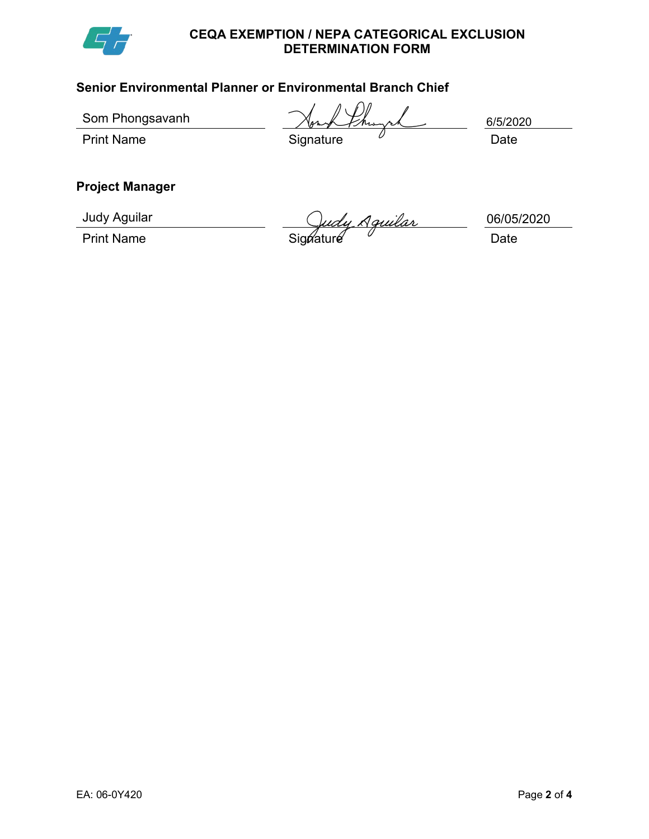

#### **CEQA EXEMPTION / NEPA CATEGORICAL EXCLUSION DETERMINATION FORM**

# **Senior Environmental Planner or Environmental Branch Chief**

Som Phongsavanh

Print Name Signature Date

6/5/2020

# **Project Manager**

Judy Aguilar

Print Name **Signature** Constant Control Control Constant Constant Constant Constant Constant Constant Constant Constant Constant Constant Constant Constant Constant Constant Constant Constant Constant Constant Constant Con

06/05/2020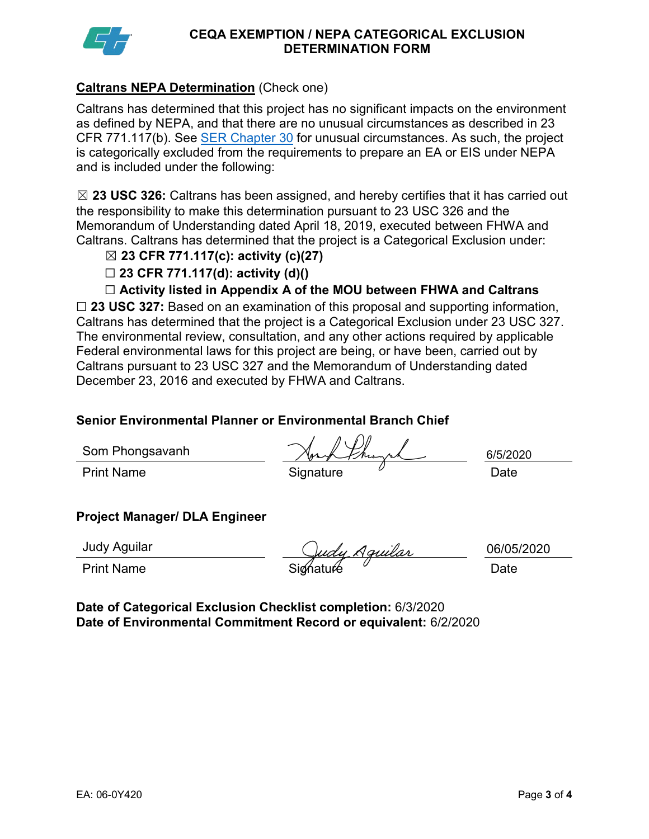

#### **CEQA EXEMPTION / NEPA CATEGORICAL EXCLUSION DETERMINATION FORM**

# **Caltrans NEPA Determination** (Check one)

Caltrans has determined that this project has no significant impacts on the environment as defined by NEPA, and that there are no unusual circumstances as described in 23 CFR 771.117(b). See [SER Chapter 30](https://dot.ca.gov/programs/environmental-analysis/standard-environmental-reference-ser/volume-1-guidance-for-compliance/ch-30-categorical-exclusions#exception) for unusual circumstances. As such, the project is categorically excluded from the requirements to prepare an EA or EIS under NEPA and is included under the following:

☒ **23 USC 326:** Caltrans has been assigned, and hereby certifies that it has carried out the responsibility to make this determination pursuant to 23 USC 326 and the Memorandum of Understanding dated April 18, 2019, executed between FHWA and Caltrans. Caltrans has determined that the project is a Categorical Exclusion under:

- ☒ **23 CFR 771.117(c): activity (c)(27)**
- ☐ **23 CFR 771.117(d): activity (d)()**
- ☐ **Activity listed in Appendix A of the MOU between FHWA and Caltrans**

☐ **23 USC 327:** Based on an examination of this proposal and supporting information, Caltrans has determined that the project is a Categorical Exclusion under 23 USC 327. The environmental review, consultation, and any other actions required by applicable Federal environmental laws for this project are being, or have been, carried out by Caltrans pursuant to 23 USC 327 and the Memorandum of Understanding dated December 23, 2016 and executed by FHWA and Caltrans.

### **Senior Environmental Planner or Environmental Branch Chief**

Som Phongsavanh

Print Name **Signature** Date **Date Date** 

6/5/2020

### **Project Manager/ DLA Engineer**

Judy Aguilar

Print Name Signature Date

06/05/2020

**Date of Categorical Exclusion Checklist completion:** 6/3/2020 **Date of Environmental Commitment Record or equivalent:** 6/2/2020